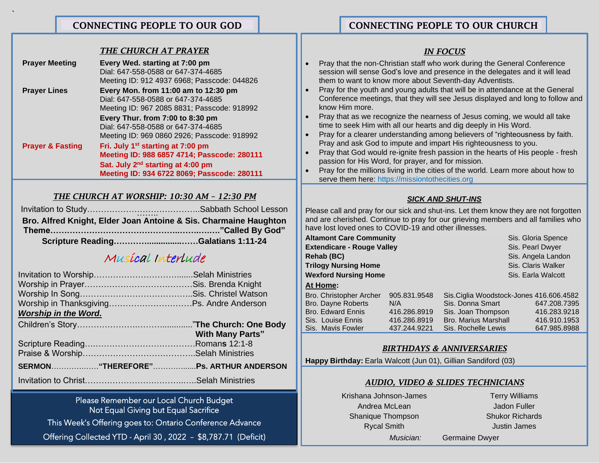**`**

i

## CONNECTING PEOPLE TO OUR CHURCH

#### *THE CHURCH AT PRAYER*

| <b>Prayer Meeting</b>       | Every Wed. starting at 7:00 pm<br>Dial: 647-558-0588 or 647-374-4685<br>Meeting ID: 912 4937 6968; Passcode: 044826                                                                          |
|-----------------------------|----------------------------------------------------------------------------------------------------------------------------------------------------------------------------------------------|
| <b>Prayer Lines</b>         | Every Mon. from 11:00 am to 12:30 pm<br>Dial: 647-558-0588 or 647-374-4685<br>Meeting ID: 967 2085 8831; Passcode: 918992                                                                    |
|                             | Every Thur. from 7:00 to 8:30 pm<br>Dial: 647-558-0588 or 647-374-4685<br>Meeting ID: 969 0860 2926; Passcode: 918992                                                                        |
| <b>Prayer &amp; Fasting</b> | Fri. July 1 <sup>st</sup> starting at 7:00 pm<br>Meeting ID: 988 6857 4714; Passcode: 280111<br>Sat. July 2 <sup>nd</sup> starting at 4:00 pm<br>Meeting ID: 934 6722 8069; Passcode: 280111 |

#### *THE CHURCH AT WORSHIP: 10:30 AM – 12:30 PM*

| Bro. Alfred Knight, Elder Joan Antoine & Sis. Charmaine Haughton |  |
|------------------------------------------------------------------|--|
|                                                                  |  |
|                                                                  |  |

## Musical Interlude

| <b>Worship in the Word.</b> |                                      |
|-----------------------------|--------------------------------------|
|                             |                                      |
|                             | <b>With Many Parts"</b>              |
|                             |                                      |
|                             |                                      |
|                             | SERMON"THEREFORE"Ps. ARTHUR ANDERSON |
|                             |                                      |

Please Remember our Local Church Budget Not Equal Giving but Equal Sacrifice

This Week's Offering goes to: Ontario Conference Advance

Offering Collected YTD - April 30 , 2022 – \$8,787.71 (Deficit) 

#### *IN FOCUS*

- Pray that the non-Christian staff who work during the General Conference session will sense God's love and presence in the delegates and it will lead them to want to know more about Seventh-day Adventists.
- Pray for the youth and young adults that will be in attendance at the General Conference meetings, that they will see Jesus displayed and long to follow and know Him more.
- Pray that as we recognize the nearness of Jesus coming, we would all take time to seek Him with all our hearts and dig deeply in His Word.
- Pray for a clearer understanding among believers of "righteousness by faith. Pray and ask God to impute and impart His righteousness to you.
- Pray that God would re-ignite fresh passion in the hearts of His people fresh passion for His Word, for prayer, and for mission.
- Pray for the millions living in the cities of the world. Learn more about how to serve them here: [https://missiontothecities.org](https://revivalandreformation.us2.list-manage.com/track/click?u=a75098063be9af4ae2a053d43&id=110b26b3fb&e=4ee7708b87)

#### *SICK AND SHUT-INS*

Please call and pray for our sick and shut-ins. Let them know they are not forgotten and are cherished. Continue to pray for our grieving members and all families who have lost loved ones to COVID-19 and other illnesses.

| <b>Altamont Care Community</b>    |              |                                         | Sis. Gloria Spence |
|-----------------------------------|--------------|-----------------------------------------|--------------------|
| <b>Extendicare - Rouge Valley</b> |              |                                         | Sis. Pearl Dwyer   |
| Rehab (BC)                        |              |                                         | Sis. Angela Landon |
| <b>Trilogy Nursing Home</b>       |              |                                         | Sis. Claris Walker |
| <b>Wexford Nursing Home</b>       |              |                                         | Sis. Earla Walcott |
| At Home:                          |              |                                         |                    |
| Bro. Christopher Archer           | 905.831.9548 | Sis.Ciglia Woodstock-Jones 416.606.4582 |                    |
| Bro. Dayne Roberts                | N/A          | Sis. Donna Smart                        | 647.208.7395       |
| Bro. Edward Ennis                 | 416.286.8919 | Sis. Joan Thompson                      | 416.283.9218       |
| Sis. Louise Ennis                 | 416.286.8919 | <b>Bro. Marius Marshall</b>             | 416.910.1953       |
| Sis. Mavis Fowler                 | 437.244.9221 | Sis. Rochelle Lewis                     | 647.985.8988       |

### *BIRTHDAYS & ANNIVERSARIES*

**Happy Birthday:** Earla Walcott (Jun 01), Gillian Sandiford (03)

### *AUDIO, VIDEO & SLIDES TECHNICIANS*

Krishana Johnson-James Terry Williams Andrea McLean **Jadon Fuller** Shanique Thompson Shukor Richards **Rycal Smith Justin James** 

*Musician:* Germaine Dwyer